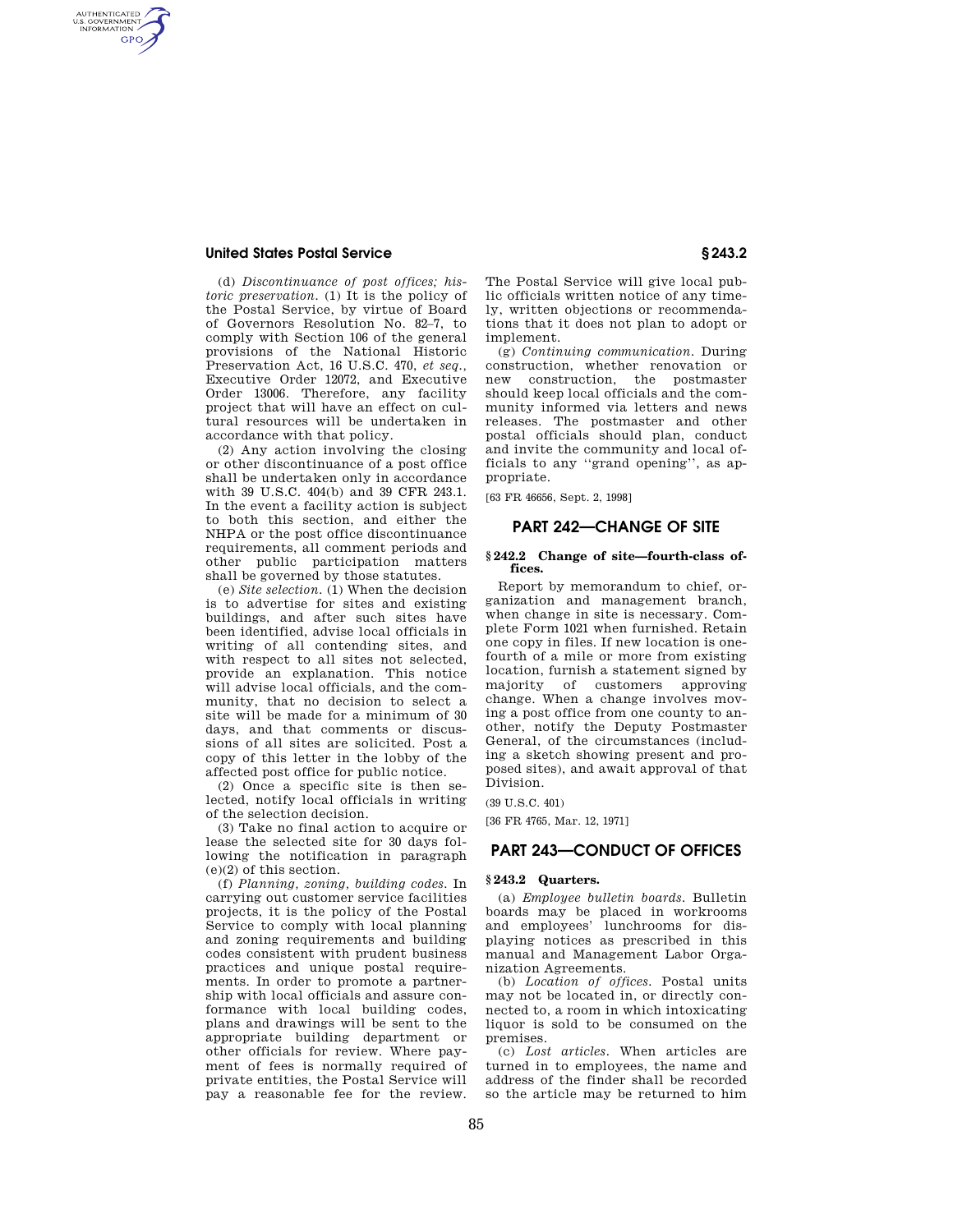### **United States Postal Service § 243.2**

AUTHENTICATED<br>U.S. GOVERNMENT<br>INFORMATION **GPO** 

> (d) *Discontinuance of post offices; historic preservation.* (1) It is the policy of the Postal Service, by virtue of Board of Governors Resolution No. 82–7, to comply with Section 106 of the general provisions of the National Historic Preservation Act, 16 U.S.C. 470, *et seq.,*  Executive Order 12072, and Executive Order 13006. Therefore, any facility project that will have an effect on cultural resources will be undertaken in accordance with that policy.

> (2) Any action involving the closing or other discontinuance of a post office shall be undertaken only in accordance with 39 U.S.C. 404(b) and 39 CFR 243.1. In the event a facility action is subject to both this section, and either the NHPA or the post office discontinuance requirements, all comment periods and other public participation matters shall be governed by those statutes.

> (e) *Site selection.* (1) When the decision is to advertise for sites and existing buildings, and after such sites have been identified, advise local officials in writing of all contending sites, and with respect to all sites not selected, provide an explanation. This notice will advise local officials, and the community, that no decision to select a site will be made for a minimum of 30 days, and that comments or discussions of all sites are solicited. Post a copy of this letter in the lobby of the affected post office for public notice.

(2) Once a specific site is then selected, notify local officials in writing of the selection decision.

(3) Take no final action to acquire or lease the selected site for 30 days following the notification in paragraph (e)(2) of this section.

(f) *Planning, zoning, building codes.* In carrying out customer service facilities projects, it is the policy of the Postal Service to comply with local planning and zoning requirements and building codes consistent with prudent business practices and unique postal requirements. In order to promote a partnership with local officials and assure conformance with local building codes, plans and drawings will be sent to the appropriate building department or other officials for review. Where payment of fees is normally required of private entities, the Postal Service will pay a reasonable fee for the review.

The Postal Service will give local public officials written notice of any timely, written objections or recommendations that it does not plan to adopt or implement.

(g) *Continuing communication.* During construction, whether renovation or new construction, the postmaster should keep local officials and the community informed via letters and news releases. The postmaster and other postal officials should plan, conduct and invite the community and local officials to any ''grand opening'', as appropriate.

[63 FR 46656, Sept. 2, 1998]

# **PART 242—CHANGE OF SITE**

#### **§ 242.2 Change of site—fourth-class offices.**

Report by memorandum to chief, organization and management branch, when change in site is necessary. Complete Form 1021 when furnished. Retain one copy in files. If new location is onefourth of a mile or more from existing location, furnish a statement signed by majority of customers approving change. When a change involves moving a post office from one county to another, notify the Deputy Postmaster General, of the circumstances (including a sketch showing present and proposed sites), and await approval of that Division.

(39 U.S.C. 401)

[36 FR 4765, Mar. 12, 1971]

## **PART 243—CONDUCT OF OFFICES**

#### **§ 243.2 Quarters.**

(a) *Employee bulletin boards.* Bulletin boards may be placed in workrooms and employees' lunchrooms for displaying notices as prescribed in this manual and Management Labor Organization Agreements.

(b) *Location of offices.* Postal units may not be located in, or directly connected to, a room in which intoxicating liquor is sold to be consumed on the premises.

(c) *Lost articles.* When articles are turned in to employees, the name and address of the finder shall be recorded so the article may be returned to him